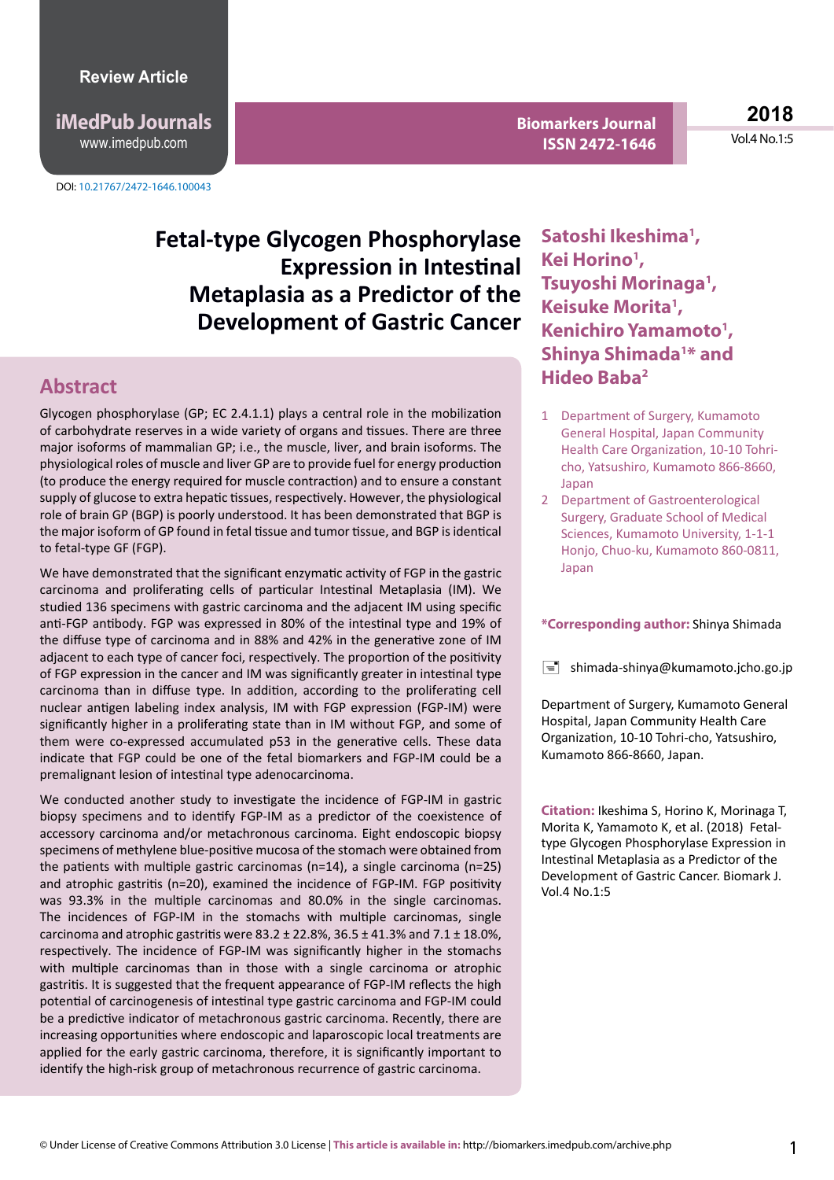**iMedPub Journals** www.imedpub.com

DOI: 10.21767/2472-1646.100043

**Biomarkers Journal ISSN 2472-1646** 

**2018** Vol.4 No.1:5

# **Fetal-type Glycogen Phosphorylase Expression in Intestinal Metaplasia as a Predictor of the Development of Gastric Cancer**

#### **Abstract**

Glycogen phosphorylase (GP; EC 2.4.1.1) plays a central role in the mobilization of carbohydrate reserves in a wide variety of organs and tissues. There are three major isoforms of mammalian GP; i.e., the muscle, liver, and brain isoforms. The physiological roles of muscle and liver GP are to provide fuel for energy production (to produce the energy required for muscle contraction) and to ensure a constant supply of glucose to extra hepatic tissues, respectively. However, the physiological role of brain GP (BGP) is poorly understood. It has been demonstrated that BGP is the major isoform of GP found in fetal tissue and tumor tissue, and BGP is identical to fetal-type GF (FGP).

We have demonstrated that the significant enzymatic activity of FGP in the gastric carcinoma and proliferating cells of particular Intestinal Metaplasia (IM). We studied 136 specimens with gastric carcinoma and the adjacent IM using specific anti-FGP antibody. FGP was expressed in 80% of the intestinal type and 19% of the diffuse type of carcinoma and in 88% and 42% in the generative zone of IM adjacent to each type of cancer foci, respectively. The proportion of the positivity of FGP expression in the cancer and IM was significantly greater in intestinal type carcinoma than in diffuse type. In addition, according to the proliferating cell nuclear antigen labeling index analysis, IM with FGP expression (FGP-IM) were significantly higher in a proliferating state than in IM without FGP, and some of them were co-expressed accumulated p53 in the generative cells. These data indicate that FGP could be one of the fetal biomarkers and FGP-IM could be a premalignant lesion of intestinal type adenocarcinoma.

We conducted another study to investigate the incidence of FGP-IM in gastric biopsy specimens and to identify FGP-IM as a predictor of the coexistence of accessory carcinoma and/or metachronous carcinoma. Eight endoscopic biopsy specimens of methylene blue-positive mucosa of the stomach were obtained from the patients with multiple gastric carcinomas (n=14), a single carcinoma (n=25) and atrophic gastritis (n=20), examined the incidence of FGP-IM. FGP positivity was 93.3% in the multiple carcinomas and 80.0% in the single carcinomas. The incidences of FGP-IM in the stomachs with multiple carcinomas, single carcinoma and atrophic gastritis were  $83.2 \pm 22.8$ %,  $36.5 \pm 41.3$ % and  $7.1 \pm 18.0$ %, respectively. The incidence of FGP-IM was significantly higher in the stomachs with multiple carcinomas than in those with a single carcinoma or atrophic gastritis. It is suggested that the frequent appearance of FGP-IM reflects the high potential of carcinogenesis of intestinal type gastric carcinoma and FGP-IM could be a predictive indicator of metachronous gastric carcinoma. Recently, there are increasing opportunities where endoscopic and laparoscopic local treatments are applied for the early gastric carcinoma, therefore, it is significantly important to identify the high-risk group of metachronous recurrence of gastric carcinoma.

**Satoshi Ikeshima1 , Kei Horino1 , Tsuyoshi Morinaga1 , Keisuke Morita1 , Kenichiro Yamamoto1 , Shinya Shimada1 \* and Hideo Baba2**

- 1 Department of Surgery, Kumamoto General Hospital, Japan Community Health Care Organization, 10-10 Tohricho, Yatsushiro, Kumamoto 866-8660, Japan
- 2 Department of Gastroenterological Surgery, Graduate School of Medical Sciences, Kumamoto University, 1-1-1 Honjo, Chuo-ku, Kumamoto 860-0811, Japan

#### **\*Corresponding author:** Shinya Shimada

 $\equiv$  shimada-shinya@kumamoto.jcho.go.jp

Department of Surgery, Kumamoto General Hospital, Japan Community Health Care Organization, 10-10 Tohri-cho, Yatsushiro, Kumamoto 866-8660, Japan.

**Citation:** Ikeshima S, Horino K, Morinaga T, Morita K, Yamamoto K, et al. (2018) Fetaltype Glycogen Phosphorylase Expression in Intestinal Metaplasia as a Predictor of the Development of Gastric Cancer. Biomark J. Vol.4 No.1:5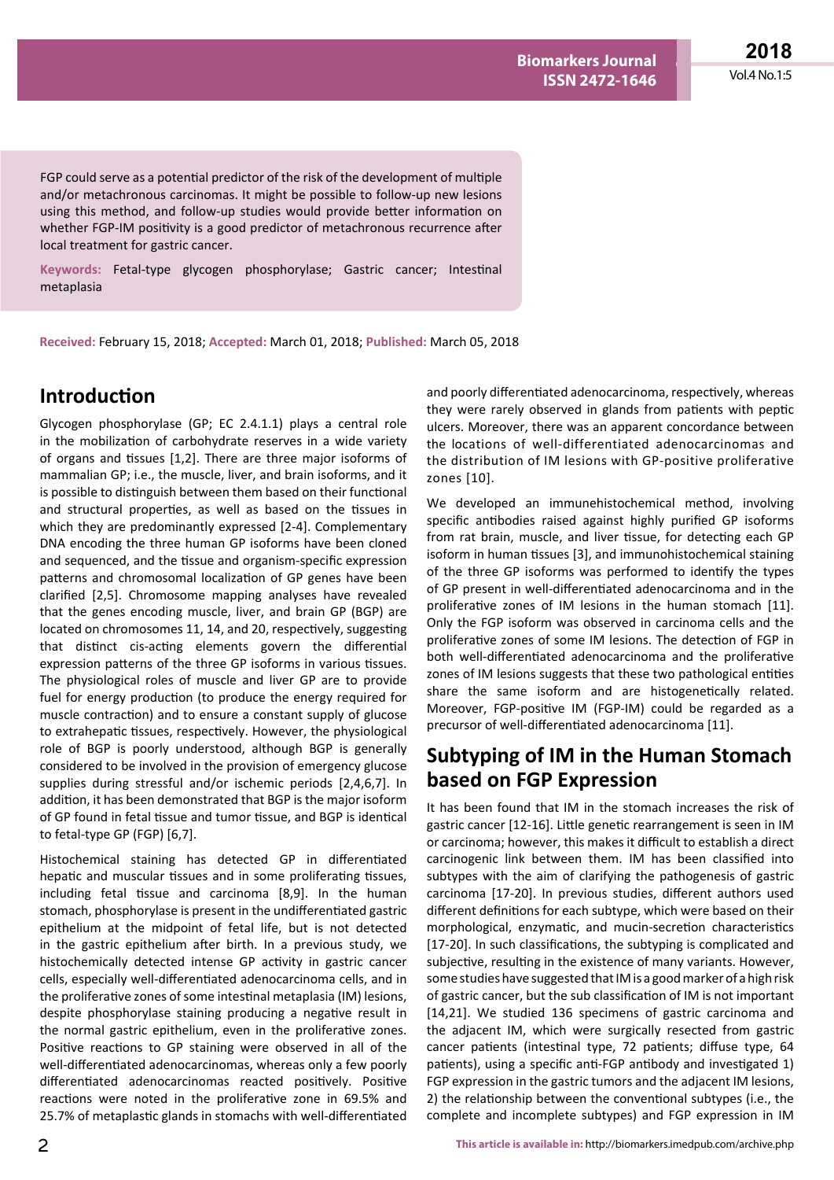**2018** Vol.4 No.1:5

FGP could serve as a potential predictor of the risk of the development of multiple and/or metachronous carcinomas. It might be possible to follow-up new lesions using this method, and follow-up studies would provide better information on whether FGP-IM positivity is a good predictor of metachronous recurrence after local treatment for gastric cancer.

**Keywords:** Fetal-type glycogen phosphorylase; Gastric cancer; Intestinal metaplasia

**Received:** February 15, 2018; **Accepted:** March 01, 2018; **Published:** March 05, 2018

### **Introduction**

Glycogen phosphorylase (GP; EC 2.4.1.1) plays a central role in the mobilization of carbohydrate reserves in a wide variety of organs and tissues [1,2]. There are three major isoforms of mammalian GP; i.e., the muscle, liver, and brain isoforms, and it is possible to distinguish between them based on their functional and structural properties, as well as based on the tissues in which they are predominantly expressed [2-4]. Complementary DNA encoding the three human GP isoforms have been cloned and sequenced, and the tissue and organism-specific expression patterns and chromosomal localization of GP genes have been clarified [2,5]. Chromosome mapping analyses have revealed that the genes encoding muscle, liver, and brain GP (BGP) are located on chromosomes 11, 14, and 20, respectively, suggesting that distinct cis-acting elements govern the differential expression patterns of the three GP isoforms in various tissues. The physiological roles of muscle and liver GP are to provide fuel for energy production (to produce the energy required for muscle contraction) and to ensure a constant supply of glucose to extrahepatic tissues, respectively. However, the physiological role of BGP is poorly understood, although BGP is generally considered to be involved in the provision of emergency glucose supplies during stressful and/or ischemic periods [2,4,6,7]. In addition, it has been demonstrated that BGP is the major isoform of GP found in fetal tissue and tumor tissue, and BGP is identical to fetal-type GP (FGP) [6,7].

Histochemical staining has detected GP in differentiated hepatic and muscular tissues and in some proliferating tissues, including fetal tissue and carcinoma [8,9]. In the human stomach, phosphorylase is present in the undifferentiated gastric epithelium at the midpoint of fetal life, but is not detected in the gastric epithelium after birth. In a previous study, we histochemically detected intense GP activity in gastric cancer cells, especially well-differentiated adenocarcinoma cells, and in the proliferative zones of some intestinal metaplasia (IM) lesions, despite phosphorylase staining producing a negative result in the normal gastric epithelium, even in the proliferative zones. Positive reactions to GP staining were observed in all of the well-differentiated adenocarcinomas, whereas only a few poorly differentiated adenocarcinomas reacted positively. Positive reactions were noted in the proliferative zone in 69.5% and 25.7% of metaplastic glands in stomachs with well-differentiated and poorly differentiated adenocarcinoma, respectively, whereas they were rarely observed in glands from patients with peptic ulcers. Moreover, there was an apparent concordance between the locations of well-differentiated adenocarcinomas and the distribution of IM lesions with GP-positive proliferative zones [10].

We developed an immunehistochemical method, involving specific antibodies raised against highly purified GP isoforms from rat brain, muscle, and liver tissue, for detecting each GP isoform in human tissues [3], and immunohistochemical staining of the three GP isoforms was performed to identify the types of GP present in well-differentiated adenocarcinoma and in the proliferative zones of IM lesions in the human stomach [11]. Only the FGP isoform was observed in carcinoma cells and the proliferative zones of some IM lesions. The detection of FGP in both well-differentiated adenocarcinoma and the proliferative zones of IM lesions suggests that these two pathological entities share the same isoform and are histogenetically related. Moreover, FGP-positive IM (FGP-IM) could be regarded as a precursor of well-differentiated adenocarcinoma [11].

## **Subtyping of IM in the Human Stomach based on FGP Expression**

It has been found that IM in the stomach increases the risk of gastric cancer [12-16]. Little genetic rearrangement is seen in IM or carcinoma; however, this makes it difficult to establish a direct carcinogenic link between them. IM has been classified into subtypes with the aim of clarifying the pathogenesis of gastric carcinoma [17-20]. In previous studies, different authors used different definitions for each subtype, which were based on their morphological, enzymatic, and mucin-secretion characteristics [17-20]. In such classifications, the subtyping is complicated and subjective, resulting in the existence of many variants. However, some studies have suggested that IM is a good marker of a high risk of gastric cancer, but the sub classification of IM is not important [14,21]. We studied 136 specimens of gastric carcinoma and the adjacent IM, which were surgically resected from gastric cancer patients (intestinal type, 72 patients; diffuse type, 64 patients), using a specific anti-FGP antibody and investigated 1) FGP expression in the gastric tumors and the adjacent IM lesions, 2) the relationship between the conventional subtypes (i.e., the complete and incomplete subtypes) and FGP expression in IM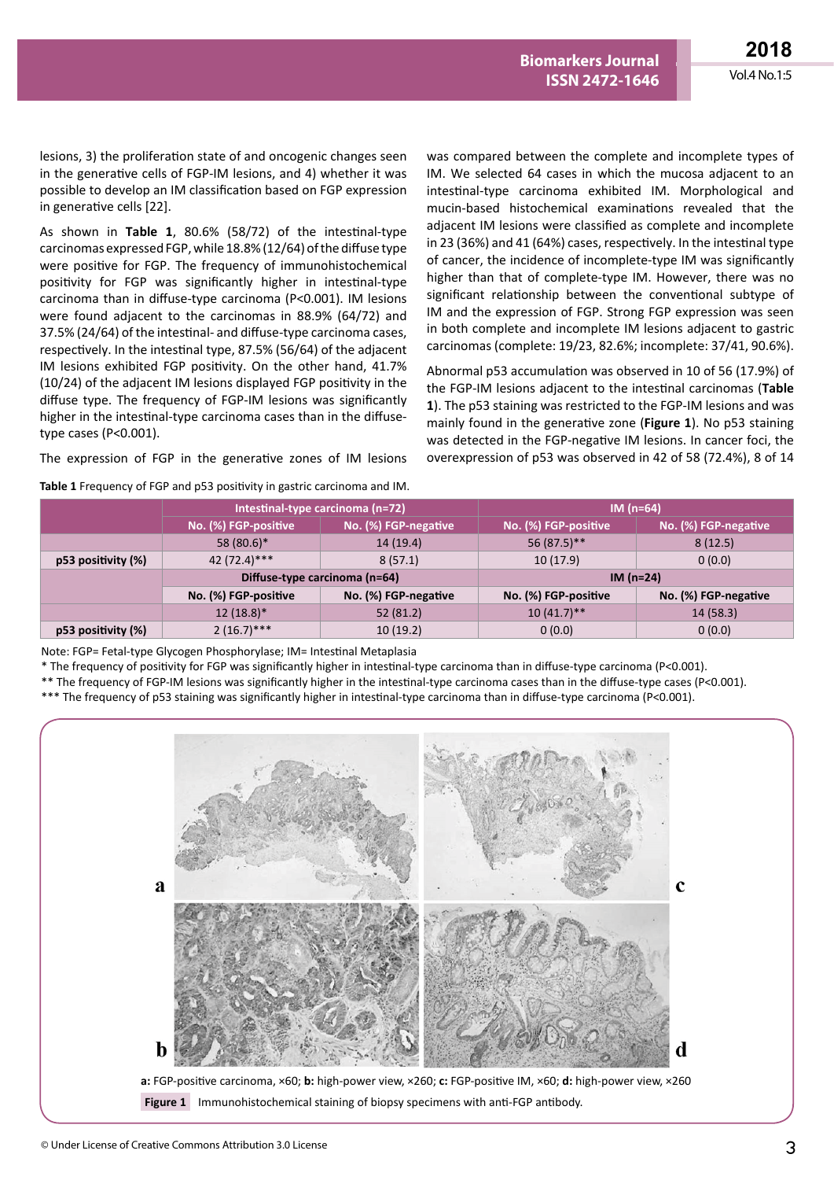lesions, 3) the proliferation state of and oncogenic changes seen in the generative cells of FGP-IM lesions, and 4) whether it was possible to develop an IM classification based on FGP expression in generative cells [22].

As shown in **Table 1**, 80.6% (58/72) of the intestinal-type carcinomas expressed FGP, while 18.8% (12/64) of the diffuse type were positive for FGP. The frequency of immunohistochemical positivity for FGP was significantly higher in intestinal-type carcinoma than in diffuse-type carcinoma (P<0.001). IM lesions were found adjacent to the carcinomas in 88.9% (64/72) and 37.5% (24/64) of the intestinal- and diffuse-type carcinoma cases, respectively. In the intestinal type, 87.5% (56/64) of the adjacent IM lesions exhibited FGP positivity. On the other hand, 41.7% (10/24) of the adjacent IM lesions displayed FGP positivity in the diffuse type. The frequency of FGP-IM lesions was significantly higher in the intestinal-type carcinoma cases than in the diffusetype cases (P<0.001).

The expression of FGP in the generative zones of IM lesions

**Table 1** Frequency of FGP and p53 positivity in gastric carcinoma and IM.

was compared between the complete and incomplete types of IM. We selected 64 cases in which the mucosa adjacent to an intestinal-type carcinoma exhibited IM. Morphological and mucin-based histochemical examinations revealed that the adjacent IM lesions were classified as complete and incomplete in 23 (36%) and 41 (64%) cases, respectively. In the intestinal type of cancer, the incidence of incomplete-type IM was significantly higher than that of complete-type IM. However, there was no significant relationship between the conventional subtype of IM and the expression of FGP. Strong FGP expression was seen in both complete and incomplete IM lesions adjacent to gastric carcinomas (complete: 19/23, 82.6%; incomplete: 37/41, 90.6%).

**Biomarkers Journal ISSN 2472-1646** 

Abnormal p53 accumulation was observed in 10 of 56 (17.9%) of the FGP-IM lesions adjacent to the intestinal carcinomas (**Table 1**). The p53 staining was restricted to the FGP-IM lesions and was mainly found in the generative zone (**Figure 1**). No p53 staining was detected in the FGP-negative IM lesions. In cancer foci, the overexpression of p53 was observed in 42 of 58 (72.4%), 8 of 14

|                         | Intestinal-type carcinoma (n=72) |                      | $IM(n=64)$           |                      |
|-------------------------|----------------------------------|----------------------|----------------------|----------------------|
|                         | No. (%) FGP-positive '           | No. (%) FGP-negative | No. (%) FGP-positive | No. (%) FGP-negative |
|                         | 58 (80.6)*                       | 14 (19.4)            | 56 (87.5)**          | 8(12.5)              |
| $p53$ positivity $(\%)$ | 42 (72.4)***                     | 8(57.1)              | 10(17.9)             | 0(0.0)               |
|                         | Diffuse-type carcinoma (n=64)    |                      | IM $(n=24)$          |                      |
|                         | No. (%) FGP-positive             | No. (%) FGP-negative | No. (%) FGP-positive | No. (%) FGP-negative |
|                         | $12(18.8)$ <sup>*</sup>          | 52(81.2)             | $10(41.7)$ **        | 14(58.3)             |
| p53 positivity (%)      | $2(16.7)$ ***                    | 10(19.2)             | 0(0.0)               | 0(0.0)               |

Note: FGP= Fetal-type Glycogen Phosphorylase; IM= Intestinal Metaplasia

\* The frequency of positivity for FGP was significantly higher in intestinal-type carcinoma than in diffuse-type carcinoma (P<0.001).

\*\* The frequency of FGP-IM lesions was significantly higher in the intestinal-type carcinoma cases than in the diffuse-type cases (P<0.001).

\*\*\* The frequency of p53 staining was significantly higher in intestinal-type carcinoma than in diffuse-type carcinoma (P<0.001).

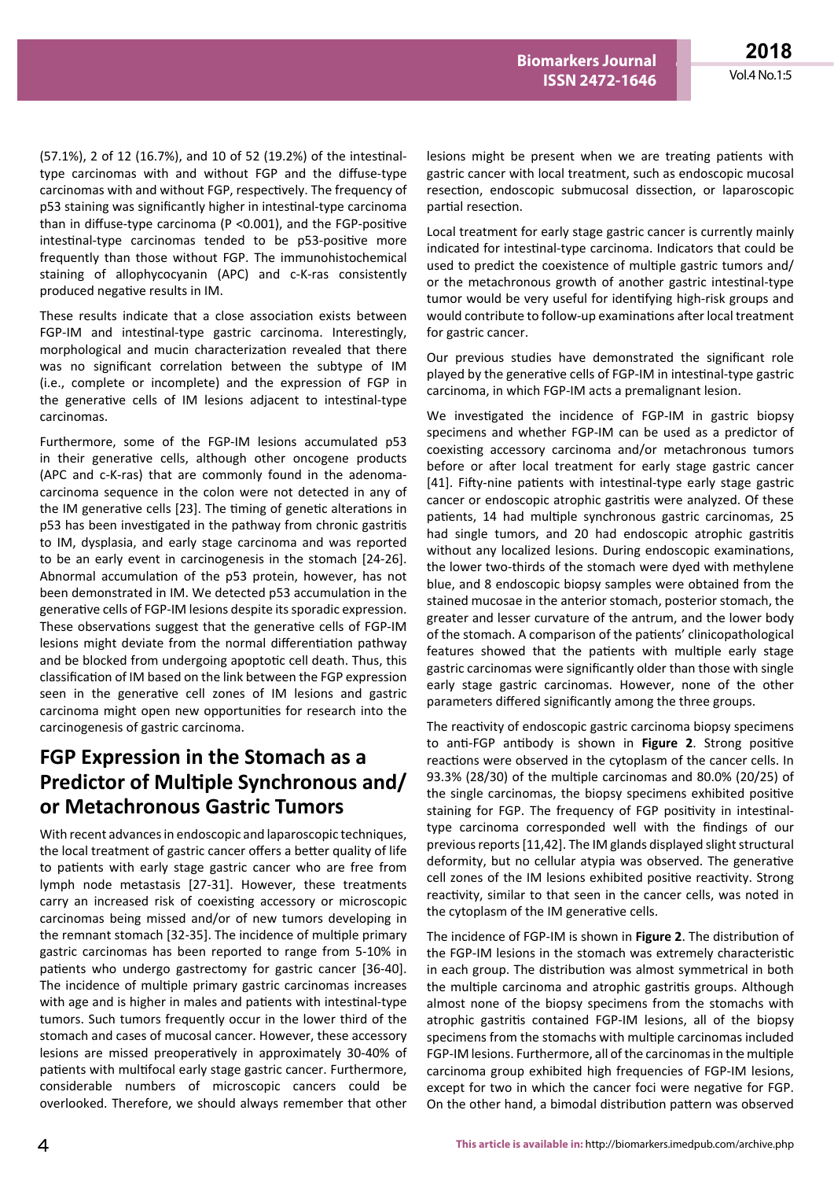(57.1%), 2 of 12 (16.7%), and 10 of 52 (19.2%) of the intestinaltype carcinomas with and without FGP and the diffuse-type carcinomas with and without FGP, respectively. The frequency of p53 staining was significantly higher in intestinal-type carcinoma than in diffuse-type carcinoma (P <0.001), and the FGP-positive intestinal-type carcinomas tended to be p53-positive more frequently than those without FGP. The immunohistochemical staining of allophycocyanin (APC) and c-K-ras consistently produced negative results in IM.

These results indicate that a close association exists between FGP-IM and intestinal-type gastric carcinoma. Interestingly, morphological and mucin characterization revealed that there was no significant correlation between the subtype of IM (i.e., complete or incomplete) and the expression of FGP in the generative cells of IM lesions adjacent to intestinal-type carcinomas.

Furthermore, some of the FGP-IM lesions accumulated p53 in their generative cells, although other oncogene products (APC and c-K-ras) that are commonly found in the adenomacarcinoma sequence in the colon were not detected in any of the IM generative cells [23]. The timing of genetic alterations in p53 has been investigated in the pathway from chronic gastritis to IM, dysplasia, and early stage carcinoma and was reported to be an early event in carcinogenesis in the stomach [24-26]. Abnormal accumulation of the p53 protein, however, has not been demonstrated in IM. We detected p53 accumulation in the generative cells of FGP-IM lesions despite its sporadic expression. These observations suggest that the generative cells of FGP-IM lesions might deviate from the normal differentiation pathway and be blocked from undergoing apoptotic cell death. Thus, this classification of IM based on the link between the FGP expression seen in the generative cell zones of IM lesions and gastric carcinoma might open new opportunities for research into the carcinogenesis of gastric carcinoma.

# **FGP Expression in the Stomach as a Predictor of Multiple Synchronous and/ or Metachronous Gastric Tumors**

With recent advances in endoscopic and laparoscopic techniques, the local treatment of gastric cancer offers a better quality of life to patients with early stage gastric cancer who are free from lymph node metastasis [27-31]. However, these treatments carry an increased risk of coexisting accessory or microscopic carcinomas being missed and/or of new tumors developing in the remnant stomach [32-35]. The incidence of multiple primary gastric carcinomas has been reported to range from 5-10% in patients who undergo gastrectomy for gastric cancer [36-40]. The incidence of multiple primary gastric carcinomas increases with age and is higher in males and patients with intestinal-type tumors. Such tumors frequently occur in the lower third of the stomach and cases of mucosal cancer. However, these accessory lesions are missed preoperatively in approximately 30-40% of patients with multifocal early stage gastric cancer. Furthermore, considerable numbers of microscopic cancers could be overlooked. Therefore, we should always remember that other

lesions might be present when we are treating patients with gastric cancer with local treatment, such as endoscopic mucosal resection, endoscopic submucosal dissection, or laparoscopic partial resection.

**Biomarkers Journal ISSN 2472-1646** 

Local treatment for early stage gastric cancer is currently mainly indicated for intestinal-type carcinoma. Indicators that could be used to predict the coexistence of multiple gastric tumors and/ or the metachronous growth of another gastric intestinal-type tumor would be very useful for identifying high-risk groups and would contribute to follow-up examinations after local treatment for gastric cancer.

Our previous studies have demonstrated the significant role played by the generative cells of FGP-IM in intestinal-type gastric carcinoma, in which FGP-IM acts a premalignant lesion.

We investigated the incidence of FGP-IM in gastric biopsy specimens and whether FGP-IM can be used as a predictor of coexisting accessory carcinoma and/or metachronous tumors before or after local treatment for early stage gastric cancer [41]. Fifty-nine patients with intestinal-type early stage gastric cancer or endoscopic atrophic gastritis were analyzed. Of these patients, 14 had multiple synchronous gastric carcinomas, 25 had single tumors, and 20 had endoscopic atrophic gastritis without any localized lesions. During endoscopic examinations, the lower two-thirds of the stomach were dyed with methylene blue, and 8 endoscopic biopsy samples were obtained from the stained mucosae in the anterior stomach, posterior stomach, the greater and lesser curvature of the antrum, and the lower body of the stomach. A comparison of the patients' clinicopathological features showed that the patients with multiple early stage gastric carcinomas were significantly older than those with single early stage gastric carcinomas. However, none of the other parameters differed significantly among the three groups.

The reactivity of endoscopic gastric carcinoma biopsy specimens to anti-FGP antibody is shown in **Figure 2**. Strong positive reactions were observed in the cytoplasm of the cancer cells. In 93.3% (28/30) of the multiple carcinomas and 80.0% (20/25) of the single carcinomas, the biopsy specimens exhibited positive staining for FGP. The frequency of FGP positivity in intestinaltype carcinoma corresponded well with the findings of our previous reports [11,42]. The IM glands displayed slight structural deformity, but no cellular atypia was observed. The generative cell zones of the IM lesions exhibited positive reactivity. Strong reactivity, similar to that seen in the cancer cells, was noted in the cytoplasm of the IM generative cells.

The incidence of FGP-IM is shown in **Figure 2**. The distribution of the FGP-IM lesions in the stomach was extremely characteristic in each group. The distribution was almost symmetrical in both the multiple carcinoma and atrophic gastritis groups. Although almost none of the biopsy specimens from the stomachs with atrophic gastritis contained FGP-IM lesions, all of the biopsy specimens from the stomachs with multiple carcinomas included FGP-IM lesions. Furthermore, all of the carcinomas in the multiple carcinoma group exhibited high frequencies of FGP-IM lesions, except for two in which the cancer foci were negative for FGP. On the other hand, a bimodal distribution pattern was observed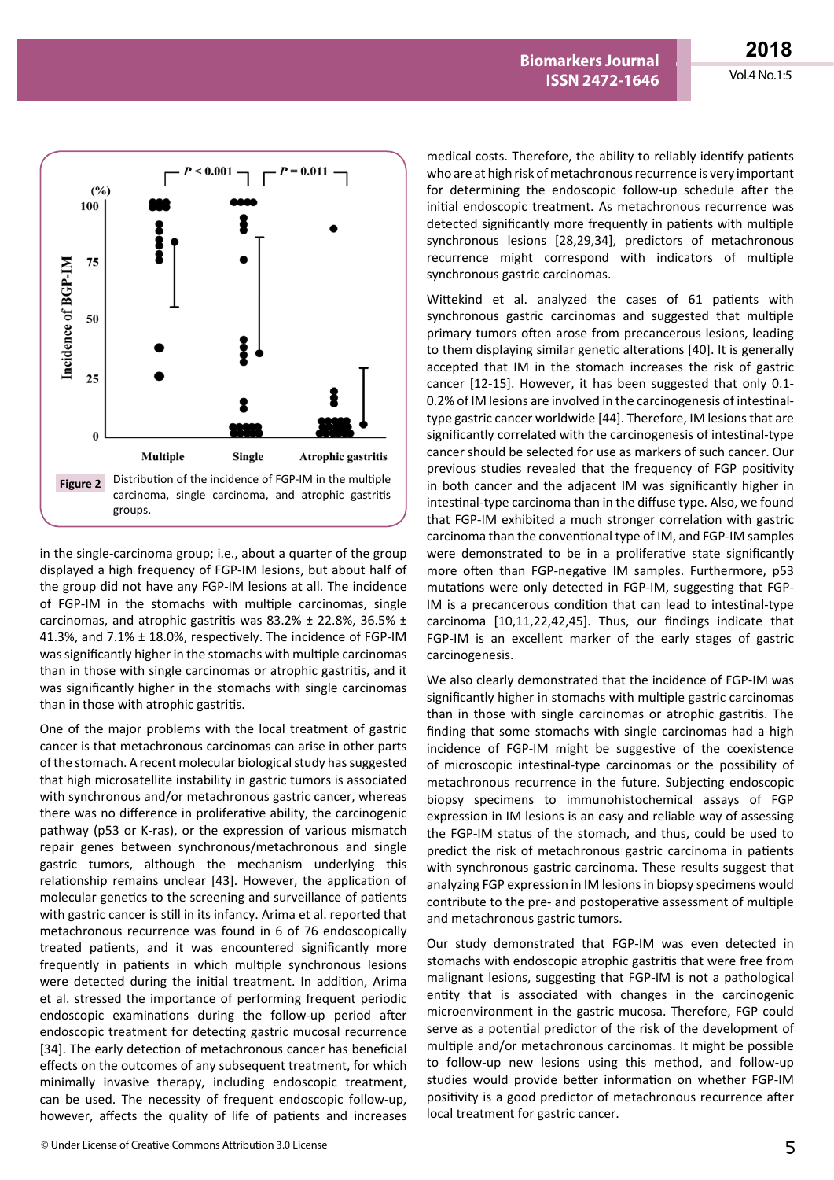

in the single-carcinoma group; i.e., about a quarter of the group displayed a high frequency of FGP-IM lesions, but about half of the group did not have any FGP-IM lesions at all. The incidence of FGP-IM in the stomachs with multiple carcinomas, single carcinomas, and atrophic gastritis was 83.2%  $\pm$  22.8%, 36.5%  $\pm$ 41.3%, and 7.1% ± 18.0%, respectively. The incidence of FGP-IM was significantly higher in the stomachs with multiple carcinomas than in those with single carcinomas or atrophic gastritis, and it was significantly higher in the stomachs with single carcinomas than in those with atrophic gastritis.

One of the major problems with the local treatment of gastric cancer is that metachronous carcinomas can arise in other parts of the stomach. A recent molecular biological study has suggested that high microsatellite instability in gastric tumors is associated with synchronous and/or metachronous gastric cancer, whereas there was no difference in proliferative ability, the carcinogenic pathway (p53 or K-ras), or the expression of various mismatch repair genes between synchronous/metachronous and single gastric tumors, although the mechanism underlying this relationship remains unclear [43]. However, the application of molecular genetics to the screening and surveillance of patients with gastric cancer is still in its infancy. Arima et al. reported that metachronous recurrence was found in 6 of 76 endoscopically treated patients, and it was encountered significantly more frequently in patients in which multiple synchronous lesions were detected during the initial treatment. In addition, Arima et al. stressed the importance of performing frequent periodic endoscopic examinations during the follow-up period after endoscopic treatment for detecting gastric mucosal recurrence [34]. The early detection of metachronous cancer has beneficial effects on the outcomes of any subsequent treatment, for which minimally invasive therapy, including endoscopic treatment, can be used. The necessity of frequent endoscopic follow-up, however, affects the quality of life of patients and increases

medical costs. Therefore, the ability to reliably identify patients who are at high risk of metachronous recurrence is very important for determining the endoscopic follow-up schedule after the initial endoscopic treatment. As metachronous recurrence was detected significantly more frequently in patients with multiple synchronous lesions [28,29,34], predictors of metachronous recurrence might correspond with indicators of multiple synchronous gastric carcinomas.

**Biomarkers Journal ISSN 2472-1646** 

Wittekind et al. analyzed the cases of 61 patients with synchronous gastric carcinomas and suggested that multiple primary tumors often arose from precancerous lesions, leading to them displaying similar genetic alterations [40]. It is generally accepted that IM in the stomach increases the risk of gastric cancer [12-15]. However, it has been suggested that only 0.1- 0.2% of IM lesions are involved in the carcinogenesis of intestinaltype gastric cancer worldwide [44]. Therefore, IM lesions that are significantly correlated with the carcinogenesis of intestinal-type cancer should be selected for use as markers of such cancer. Our previous studies revealed that the frequency of FGP positivity in both cancer and the adjacent IM was significantly higher in intestinal-type carcinoma than in the diffuse type. Also, we found that FGP-IM exhibited a much stronger correlation with gastric carcinoma than the conventional type of IM, and FGP-IM samples were demonstrated to be in a proliferative state significantly more often than FGP-negative IM samples. Furthermore, p53 mutations were only detected in FGP-IM, suggesting that FGP-IM is a precancerous condition that can lead to intestinal-type carcinoma [10,11,22,42,45]. Thus, our findings indicate that FGP-IM is an excellent marker of the early stages of gastric carcinogenesis.

We also clearly demonstrated that the incidence of FGP-IM was significantly higher in stomachs with multiple gastric carcinomas than in those with single carcinomas or atrophic gastritis. The finding that some stomachs with single carcinomas had a high incidence of FGP-IM might be suggestive of the coexistence of microscopic intestinal-type carcinomas or the possibility of metachronous recurrence in the future. Subjecting endoscopic biopsy specimens to immunohistochemical assays of FGP expression in IM lesions is an easy and reliable way of assessing the FGP-IM status of the stomach, and thus, could be used to predict the risk of metachronous gastric carcinoma in patients with synchronous gastric carcinoma. These results suggest that analyzing FGP expression in IM lesions in biopsy specimens would contribute to the pre- and postoperative assessment of multiple and metachronous gastric tumors.

Our study demonstrated that FGP-IM was even detected in stomachs with endoscopic atrophic gastritis that were free from malignant lesions, suggesting that FGP-IM is not a pathological entity that is associated with changes in the carcinogenic microenvironment in the gastric mucosa. Therefore, FGP could serve as a potential predictor of the risk of the development of multiple and/or metachronous carcinomas. It might be possible to follow-up new lesions using this method, and follow-up studies would provide better information on whether FGP-IM positivity is a good predictor of metachronous recurrence after local treatment for gastric cancer.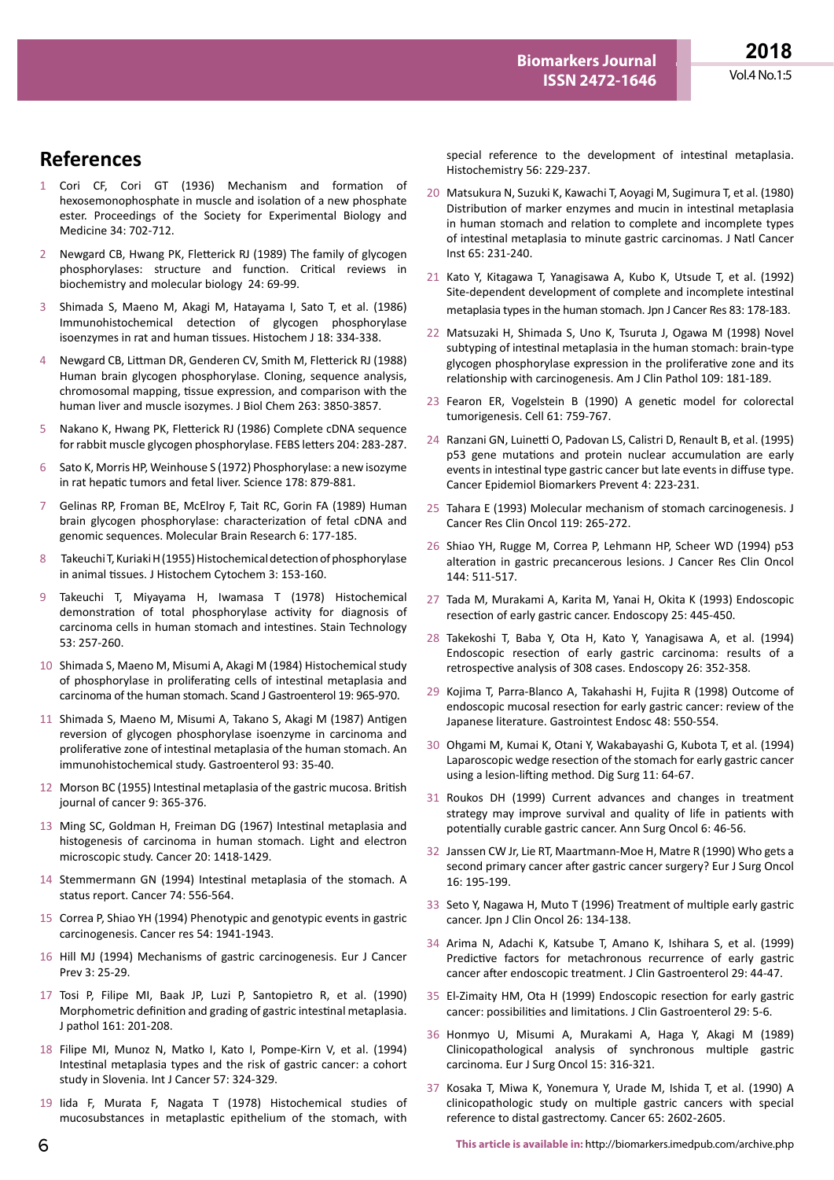# **References**

- 1 Cori CF, Cori GT (1936) Mechanism and formation of hexosemonophosphate in muscle and isolation of a new phosphate ester. Proceedings of the Society for Experimental Biology and Medicine 34: 702-712.
- 2 Newgard CB, Hwang PK, Fletterick RJ (1989) The family of glycogen phosphorylases: structure and function. Critical reviews in biochemistry and molecular biology 24: 69-99.
- 3 Shimada S, Maeno M, Akagi M, Hatayama I, Sato T, et al. (1986) Immunohistochemical detection of glycogen phosphorylase isoenzymes in rat and human tissues. Histochem J 18: 334-338.
- 4 Newgard CB, Littman DR, Genderen CV, Smith M, Fletterick RJ (1988) Human brain glycogen phosphorylase. Cloning, sequence analysis, chromosomal mapping, tissue expression, and comparison with the human liver and muscle isozymes. J Biol Chem 263: 3850-3857.
- 5 Nakano K, Hwang PK, Fletterick RJ (1986) Complete cDNA sequence for rabbit muscle glycogen phosphorylase. FEBS letters 204: 283-287.
- 6 Sato K, Morris HP, Weinhouse S (1972) Phosphorylase: a new isozyme in rat hepatic tumors and fetal liver. Science 178: 879-881.
- 7 Gelinas RP, Froman BE, McElroy F, Tait RC, Gorin FA (1989) Human brain glycogen phosphorylase: characterization of fetal cDNA and genomic sequences. Molecular Brain Research 6: 177-185.
- 8 Takeuchi T, Kuriaki H (1955) Histochemical detection of phosphorylase in animal tissues. J Histochem Cytochem 3: 153-160.
- 9 Takeuchi T, Miyayama H, Iwamasa T (1978) Histochemical demonstration of total phosphorylase activity for diagnosis of carcinoma cells in human stomach and intestines. Stain Technology 53: 257-260.
- 10 Shimada S, Maeno M, Misumi A, Akagi M (1984) Histochemical study of phosphorylase in proliferating cells of intestinal metaplasia and carcinoma of the human stomach. Scand J Gastroenterol 19: 965-970.
- 11 Shimada S, Maeno M, Misumi A, Takano S, Akagi M (1987) Antigen reversion of glycogen phosphorylase isoenzyme in carcinoma and proliferative zone of intestinal metaplasia of the human stomach. An immunohistochemical study. Gastroenterol 93: 35-40.
- 12 Morson BC (1955) Intestinal metaplasia of the gastric mucosa. British journal of cancer 9: 365-376.
- 13 Ming SC, Goldman H, Freiman DG (1967) Intestinal metaplasia and histogenesis of carcinoma in human stomach. Light and electron microscopic study. Cancer 20: 1418-1429.
- 14 Stemmermann GN (1994) Intestinal metaplasia of the stomach. A status report. Cancer 74: 556-564.
- 15 Correa P, Shiao YH (1994) Phenotypic and genotypic events in gastric carcinogenesis. Cancer res 54: 1941-1943.
- 16 Hill MJ (1994) Mechanisms of gastric carcinogenesis. Eur J Cancer Prev 3: 25-29.
- 17 Tosi P, Filipe MI, Baak JP, Luzi P, Santopietro R, et al. (1990) Morphometric definition and grading of gastric intestinal metaplasia. J pathol 161: 201-208.
- 18 Filipe MI, Munoz N, Matko I, Kato I, Pompe-Kirn V, et al. (1994) Intestinal metaplasia types and the risk of gastric cancer: a cohort study in Slovenia. Int J Cancer 57: 324-329.
- 19 Iida F, Murata F, Nagata T (1978) Histochemical studies of mucosubstances in metaplastic epithelium of the stomach, with

special reference to the development of intestinal metaplasia. Histochemistry 56: 229-237.

**Biomarkers Journal ISSN 2472-1646** 

- 20 Matsukura N, Suzuki K, Kawachi T, Aoyagi M, Sugimura T, et al. (1980) Distribution of marker enzymes and mucin in intestinal metaplasia in human stomach and relation to complete and incomplete types of intestinal metaplasia to minute gastric carcinomas. J Natl Cancer Inst 65: 231-240.
- 21 Kato Y, Kitagawa T, Yanagisawa A, Kubo K, Utsude T, et al. (1992) Site-dependent development of complete and incomplete intestinal metaplasia types in the human stomach. Jpn J Cancer Res 83: 178-183.
- 22 Matsuzaki H, Shimada S, Uno K, Tsuruta J, Ogawa M (1998) Novel subtyping of intestinal metaplasia in the human stomach: brain-type glycogen phosphorylase expression in the proliferative zone and its relationship with carcinogenesis. Am J Clin Pathol 109: 181-189.
- 23 Fearon ER, Vogelstein B (1990) A genetic model for colorectal tumorigenesis. Cell 61: 759-767.
- 24 Ranzani GN, Luinetti O, Padovan LS, Calistri D, Renault B, et al. (1995) p53 gene mutations and protein nuclear accumulation are early events in intestinal type gastric cancer but late events in diffuse type. Cancer Epidemiol Biomarkers Prevent 4: 223-231.
- 25 Tahara E (1993) Molecular mechanism of stomach carcinogenesis. J Cancer Res Clin Oncol 119: 265-272.
- 26 Shiao YH, Rugge M, Correa P, Lehmann HP, Scheer WD (1994) p53 alteration in gastric precancerous lesions. J Cancer Res Clin Oncol 144: 511-517.
- 27 Tada M, Murakami A, Karita M, Yanai H, Okita K (1993) Endoscopic resection of early gastric cancer. Endoscopy 25: 445-450.
- 28 Takekoshi T, Baba Y, Ota H, Kato Y, Yanagisawa A, et al. (1994) Endoscopic resection of early gastric carcinoma: results of a retrospective analysis of 308 cases. Endoscopy 26: 352-358.
- 29 Kojima T, Parra-Blanco A, Takahashi H, Fujita R (1998) Outcome of endoscopic mucosal resection for early gastric cancer: review of the Japanese literature. Gastrointest Endosc 48: 550-554.
- 30 Ohgami M, Kumai K, Otani Y, Wakabayashi G, Kubota T, et al. (1994) Laparoscopic wedge resection of the stomach for early gastric cancer using a lesion-lifting method. Dig Surg 11: 64-67.
- 31 Roukos DH (1999) Current advances and changes in treatment strategy may improve survival and quality of life in patients with potentially curable gastric cancer. Ann Surg Oncol 6: 46-56.
- 32 Janssen CW Jr, Lie RT, Maartmann-Moe H, Matre R (1990) Who gets a second primary cancer after gastric cancer surgery? Eur J Surg Oncol 16: 195-199.
- 33 Seto Y, Nagawa H, Muto T (1996) Treatment of multiple early gastric cancer. Jpn J Clin Oncol 26: 134-138.
- 34 Arima N, Adachi K, Katsube T, Amano K, Ishihara S, et al. (1999) Predictive factors for metachronous recurrence of early gastric cancer after endoscopic treatment. J Clin Gastroenterol 29: 44-47.
- 35 El-Zimaity HM, Ota H (1999) Endoscopic resection for early gastric cancer: possibilities and limitations. J Clin Gastroenterol 29: 5-6.
- 36 Honmyo U, Misumi A, Murakami A, Haga Y, Akagi M (1989) Clinicopathological analysis of synchronous multiple gastric carcinoma. Eur J Surg Oncol 15: 316-321.
- 37 Kosaka T, Miwa K, Yonemura Y, Urade M, Ishida T, et al. (1990) A clinicopathologic study on multiple gastric cancers with special reference to distal gastrectomy. Cancer 65: 2602-2605.